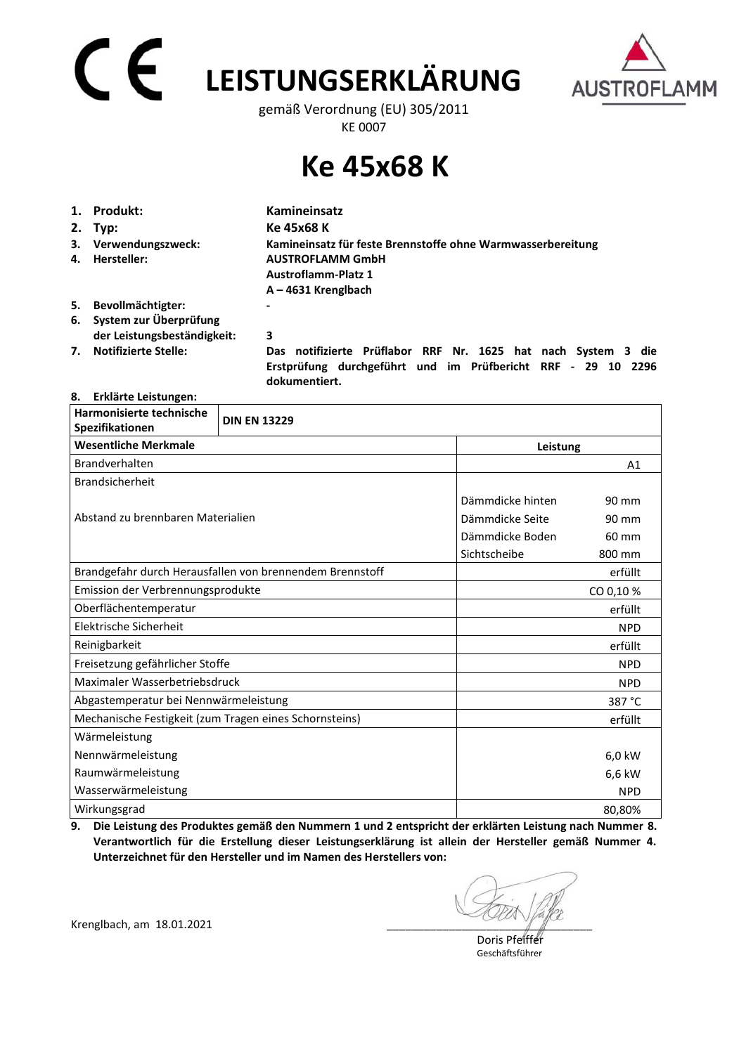# **LEISTUNGSERKLÄRUNG**



gemäß Verordnung (EU) 305/2011 KE 0007

## **Ke 45x68 K**

|    | 1. Produkt:                         | <b>Kamineinsatz</b>                                                                                                                            |
|----|-------------------------------------|------------------------------------------------------------------------------------------------------------------------------------------------|
|    | $2.$ Typ:                           | Ke 45x68 K                                                                                                                                     |
| 4. | 3. Verwendungszweck:<br>Hersteller: | Kamineinsatz für feste Brennstoffe ohne Warmwasserbereitung<br><b>AUSTROFLAMM GmbH</b>                                                         |
|    |                                     | <b>Austroflamm-Platz 1</b>                                                                                                                     |
|    |                                     | $A - 4631$ Krenglbach                                                                                                                          |
| 5. | Bevollmächtigter:                   | -                                                                                                                                              |
|    | 6. System zur Überprüfung           |                                                                                                                                                |
|    | der Leistungsbeständigkeit:         | 3                                                                                                                                              |
| 7. | <b>Notifizierte Stelle:</b>         | Das notifizierte Prüflabor RRF Nr. 1625 hat nach System 3 die<br>Erstprüfung durchgeführt und im Prüfbericht RRF - 29 10 2296<br>dokumentiert. |

#### **8. Erklärte Leistungen:**

| Harmonisierte technische<br>Spezifikationen            | <b>DIN EN 13229</b>                                      |                  |            |  |
|--------------------------------------------------------|----------------------------------------------------------|------------------|------------|--|
| <b>Wesentliche Merkmale</b>                            |                                                          |                  | Leistung   |  |
| Brandverhalten                                         |                                                          |                  | A1         |  |
| <b>Brandsicherheit</b>                                 |                                                          |                  |            |  |
|                                                        |                                                          | Dämmdicke hinten | 90 mm      |  |
| Abstand zu brennbaren Materialien                      |                                                          | Dämmdicke Seite  | 90 mm      |  |
|                                                        |                                                          | Dämmdicke Boden  | 60 mm      |  |
|                                                        |                                                          | Sichtscheibe     | 800 mm     |  |
|                                                        | Brandgefahr durch Herausfallen von brennendem Brennstoff |                  | erfüllt    |  |
| Emission der Verbrennungsprodukte                      |                                                          |                  | CO 0,10%   |  |
| Oberflächentemperatur                                  |                                                          |                  | erfüllt    |  |
| Elektrische Sicherheit                                 |                                                          |                  | <b>NPD</b> |  |
| Reinigbarkeit                                          |                                                          |                  | erfüllt    |  |
| Freisetzung gefährlicher Stoffe                        |                                                          |                  | <b>NPD</b> |  |
| Maximaler Wasserbetriebsdruck                          |                                                          |                  | <b>NPD</b> |  |
| Abgastemperatur bei Nennwärmeleistung                  |                                                          |                  | 387 °C     |  |
| Mechanische Festigkeit (zum Tragen eines Schornsteins) |                                                          |                  | erfüllt    |  |
| Wärmeleistung                                          |                                                          |                  |            |  |
| Nennwärmeleistung                                      |                                                          |                  | 6,0 kW     |  |
| Raumwärmeleistung                                      |                                                          |                  | 6,6 kW     |  |
| Wasserwärmeleistung                                    |                                                          |                  | <b>NPD</b> |  |
| Wirkungsgrad                                           |                                                          |                  | 80,80%     |  |

**9. Die Leistung des Produktes gemäß den Nummern 1 und 2 entspricht der erklärten Leistung nach Nummer 8. Verantwortlich für die Erstellung dieser Leistungserklärung ist allein der Hersteller gemäß Nummer 4. Unterzeichnet für den Hersteller und im Namen des Herstellers von:** 

Krenglbach, am 18.01.2021

 Doris Pfeiffer Geschäftsführer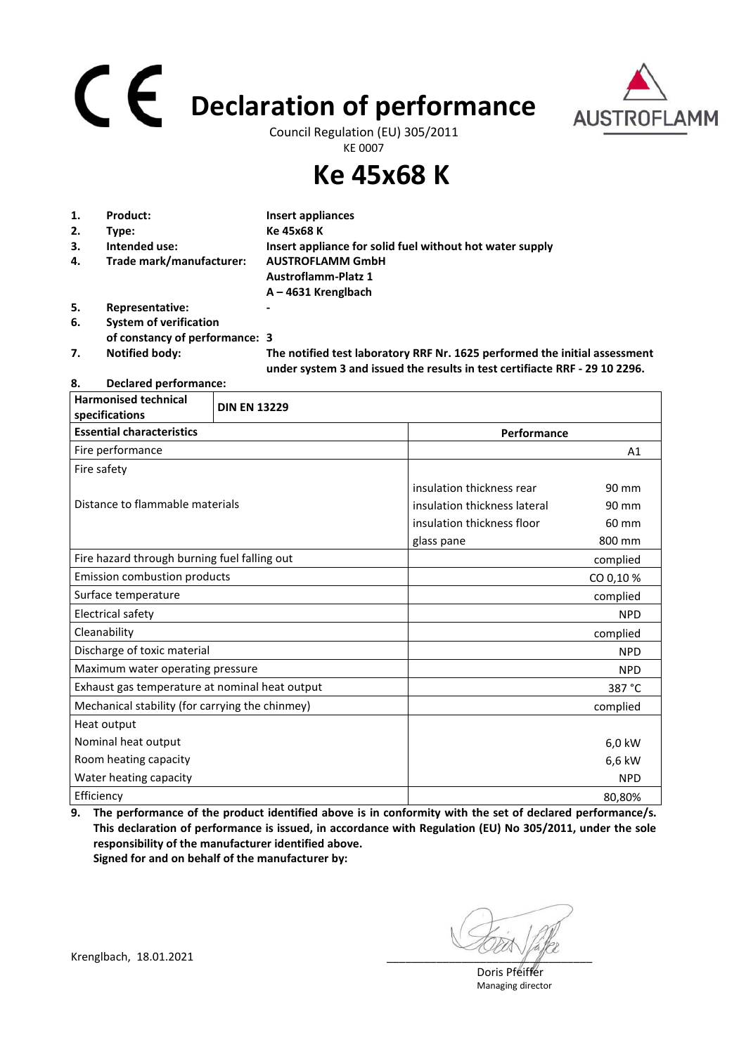## **Declaration of performance**



Council Regulation (EU) 305/2011 KE 0007

### **Ke 45x68 K**

| 1. | Product:                       | Insert appliances                                                                                                                                         |
|----|--------------------------------|-----------------------------------------------------------------------------------------------------------------------------------------------------------|
| 2. | Type:                          | Ke 45x68 K                                                                                                                                                |
| 3. | Intended use:                  | Insert appliance for solid fuel without hot water supply                                                                                                  |
| 4. | Trade mark/manufacturer:       | <b>AUSTROFLAMM GmbH</b>                                                                                                                                   |
|    |                                | <b>Austroflamm-Platz 1</b>                                                                                                                                |
|    |                                | $A - 4631$ Krenglbach                                                                                                                                     |
| 5. | Representative:                |                                                                                                                                                           |
| 6. | <b>System of verification</b>  |                                                                                                                                                           |
|    | of constancy of performance: 3 |                                                                                                                                                           |
| 7. | <b>Notified body:</b>          | The notified test laboratory RRF Nr. 1625 performed the initial assessment<br>under system 3 and issued the results in test certifiacte RRF - 29 10 2296. |

#### **8. Declared performance:**

| <b>Harmonised technical</b><br>specifications   | <b>DIN EN 13229</b> |                              |                |
|-------------------------------------------------|---------------------|------------------------------|----------------|
| <b>Essential characteristics</b>                |                     | Performance                  |                |
| Fire performance                                |                     |                              | A <sub>1</sub> |
| Fire safety                                     |                     |                              |                |
|                                                 |                     | insulation thickness rear    | 90 mm          |
| Distance to flammable materials                 |                     | insulation thickness lateral | 90 mm          |
|                                                 |                     | insulation thickness floor   | 60 mm          |
|                                                 |                     | glass pane                   | 800 mm         |
| Fire hazard through burning fuel falling out    |                     |                              | complied       |
| <b>Emission combustion products</b>             |                     |                              | CO 0,10%       |
| Surface temperature                             |                     |                              | complied       |
| Electrical safety                               |                     |                              | <b>NPD</b>     |
| Cleanability                                    |                     |                              | complied       |
| Discharge of toxic material                     |                     |                              | <b>NPD</b>     |
| Maximum water operating pressure                |                     |                              | <b>NPD</b>     |
| Exhaust gas temperature at nominal heat output  |                     |                              | 387 °C         |
| Mechanical stability (for carrying the chinmey) |                     |                              | complied       |
| Heat output                                     |                     |                              |                |
| Nominal heat output                             |                     |                              | 6,0 kW         |
| Room heating capacity                           |                     |                              | 6,6 kW         |
| Water heating capacity                          |                     |                              | <b>NPD</b>     |
| Efficiency                                      |                     |                              | 80,80%         |

**9. The performance of the product identified above is in conformity with the set of declared performance/s. This declaration of performance is issued, in accordance with Regulation (EU) No 305/2011, under the sole responsibility of the manufacturer identified above. Signed for and on behalf of the manufacturer by:**

 Doris Pfeiffer Managing director

Krenglbach, 18.01.2021